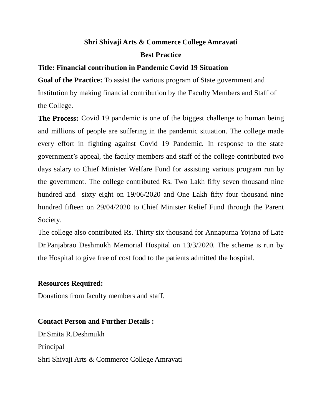## **Shri Shivaji Arts & Commerce College Amravati Best Practice**

## **Title: Financial contribution in Pandemic Covid 19 Situation**

**Goal of the Practice:** To assist the various program of State government and Institution by making financial contribution by the Faculty Members and Staff of the College.

**The Process:** Covid 19 pandemic is one of the biggest challenge to human being and millions of people are suffering in the pandemic situation. The college made every effort in fighting against Covid 19 Pandemic. In response to the state government's appeal, the faculty members and staff of the college contributed two days salary to Chief Minister Welfare Fund for assisting various program run by the government. The college contributed Rs. Two Lakh fifty seven thousand nine hundred and sixty eight on 19/06/2020 and One Lakh fifty four thousand nine hundred fifteen on 29/04/2020 to Chief Minister Relief Fund through the Parent Society.

The college also contributed Rs. Thirty six thousand for Annapurna Yojana of Late Dr.Panjabrao Deshmukh Memorial Hospital on 13/3/2020. The scheme is run by the Hospital to give free of cost food to the patients admitted the hospital.

## **Resources Required:**

Donations from faculty members and staff.

## **Contact Person and Further Details :**

Dr.Smita R.Deshmukh Principal Shri Shivaji Arts & Commerce College Amravati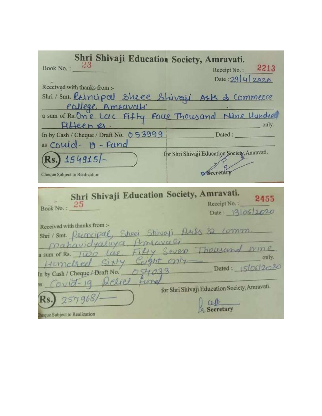| Shri Shivaji Education Society, Amravati.                                                                                      |                                               |
|--------------------------------------------------------------------------------------------------------------------------------|-----------------------------------------------|
| Book No.: 23                                                                                                                   | Receipt No.: 2213                             |
|                                                                                                                                | Date: $29 4 2020$                             |
| Received with thanks from :-                                                                                                   |                                               |
|                                                                                                                                |                                               |
|                                                                                                                                |                                               |
| Shri/Smt. Principal Sheel Shivaji AEB & Commerce<br>eallege, Amravali<br>a sum of Rs. One Lac Fifty Four Thousand Nine Hundred |                                               |
| Pilleenys.                                                                                                                     | only.                                         |
| In by Cash / Cheque / Draft No. $053999$                                                                                       | Dated :                                       |
| as Couid-19-Fund                                                                                                               |                                               |
| $Rs.$ ) 154915/-                                                                                                               | for Shri Shivaji Education Society, Amravati. |
|                                                                                                                                |                                               |
| Cheque Subject to Realization                                                                                                  | Secretary                                     |
|                                                                                                                                |                                               |
|                                                                                                                                |                                               |
|                                                                                                                                |                                               |
| Shri Shivaji Education Society, Amravati.                                                                                      | 2455<br>Receipt No.:                          |
| Book No.: 25                                                                                                                   | Date: 19 06 2020                              |
| Received with thanks from :-                                                                                                   |                                               |
| Shri/Smt. Permeipal, Sheel Shivaji Auls & comm.                                                                                |                                               |
|                                                                                                                                |                                               |
| Mahavidyaluya Amaavaa<br>a sum of Rs. Two Lae, Fifty Seven Thousand orine                                                      | only.                                         |
| Humched Sixty Ceight only                                                                                                      |                                               |
| In by Cash / Cheque / Draft No. $0.54033$ Dated: $1510612020$                                                                  |                                               |
|                                                                                                                                |                                               |
| as Covid-19 Belief fine                                                                                                        | for Shri Shivaji Education Society, Amravati. |
| $RS.$ 257968/-                                                                                                                 |                                               |